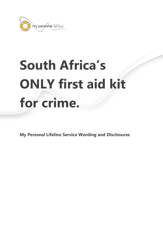

# **South Africa's ONLY first aid kit for crime.**

**My Personal Lifeline Service Wording and Disclosures**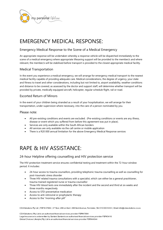

# EMERGENCY MEDICAL RESPONSE:

## Emergency Medical Response to the Scene of a Medical Emergency

An appropriate response will be undertaken whereby a response vehicle will be dispatched immediately to the scene of a medical emergency where appropriate lifesaving support will be provided to the member/s and where relevant, the member/s will be stabilised before transport is provided to the closest appropriate medical facility.

### Medical Transportation

In the event you experience a medical emergency, we will arrange for emergency medical transport to the nearest medical facility capable of providing adequate care. Medical considerations, the degree of urgency, your state and fitness to travel and other considerations, including but not limited to, airport availability, weather conditions and distance to be covered, as assessed by the doctor and support staff, will determine whether transport will be provided by private, medically equipped aircraft, helicopter, regular schedule flight, rail or road.

## Escorted Return of Minors

In the event of your children being stranded as a result of your hospitalisation, we will arrange for their transportation, under supervision where necessary, into the care of a person nominated by you.

#### Please note:

- All pre-existing conditions and events are excluded. (Pre-existing conditions or events are any illness, disease or event which you suffered from before this agreement was put in place).
- Services are only available within the South African borders
- All services are only available via the call centre or mobile application
- There is a R20 000 annual limitation for the above Emergency Medical Response services

# RAPE & HIV ASSISTANCE:

## 24-hour Helpline offering counselling and HIV protection service

The HIV-protection treatment service ensures confidential testing and treatment within the 72-hour window period. It includes:

- 24-hour access to trauma counsellors, providing telephonic trauma counselling as well as counselling for post-traumatic stress disorder
- Three HIV related trauma consultations with a specialist, which can either be a general practitioner, trauma-trained registered nurse or trauma counsellor
- Three HIV-blood tests one immediately after the incident and the second and third at six weeks and three months respectively
- Access to STD-preventative medication
- Access to anti-retroviral or prophylactic therapy
- Access to the "morning-after pill"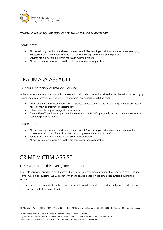

*\*Includes a free 28-day Post-exposure prophylaxis, should it be appropriate*

#### Please note:

- All pre-existing conditions and events are excluded. (Pre-existing conditions and events are any injury, illness, disease or event you suffered from before this agreement was put in place)
- Services are only available within the South African borders
- All services are only available via the call centre or mobile application

# TRAUMA & ASSAULT

### 24-hour Emergency Assistance Helpline

In the unfortunate event of a traumatic crime or criminal incident, we will provide the member with counselling by trained medical professionals. This is a 24-hour emergency assistance helpline that:

- Arranges the nearest local emergency assistance service as well as provides emergency transport to the nearest, most appropriate medical facility
- Offers referrals for psychological consultations
- Covers R20 000 per insured person with a maximum of R40 000 per family per occurrence in respect of psychological consultations

#### Please note:

- All pre-existing conditions and events are excluded. (Pre-existing conditions or events are any illness, disease or event you suffered from before this agreement was put in place).
- Services are only available within the South African borders
- All services are only available via the call centre or mobile application

# CRIME VICTIM ASSIST

#### This is a 24-hour crisis management product

To assists you with your day to day life immediately after you have been a victim of a crime such as a Hijacking, Home Invasion or Mugging. We will assist with the following based on the actual loss suffered during the incident:

• In the case of your cell phone being stolen, we will provide you with a standard cell phone loaded with prepaid airtime to the value of R200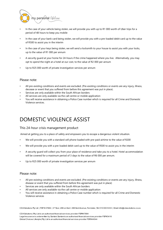

- In the case of your vehicle being stolen, we will provide you with up to R1 000 worth of Uber trips for a period of 48 hours to keep you mobile
- In the case of your bank card being stolen, we will provide you with a pre-loaded debit card up to the value of R500 to assist you in the interim
- In the case of your keys being stolen, we will send a locksmith to your house to assist you with your locks, up to the value of R1 000 per annum
- A security guard at your home for 24-hours if the crime happened where you live. Alternatively, you may opt to spend the night at a hotel at our cost, to the value of R2 000 per annum
- Up to R25 000 worth of private investigation services per annum

#### Please note:

- All pre-existing conditions and events are excluded. (Pre-existing conditions or events are any injury, illness, decease or event that you suffered from before this agreement was put in place).
- Services are only available within the South African borders
- All services are only available via the call centre or mobile application
- You will receive assistance in obtaining a Police Case number which is required for all Crime and Domestic Violence services.

# DOMESTIC VIOLENCE ASSIST

#### This 24-hour crisis management product

Aimed at getting you to a place of safety and empowers you to escape a dangerous violent situation.

- We will provide you with a standard cell phone loaded with pre-paid airtime to the value of R200
- We will provide you with a pre-loaded debit card up to the value of R500 to assist you in the interim
- A security guard will collect you from your place of residence and take you to a hotel. Hotel accommodation will be covered for a maximum period of 3 days to the value of R6 000 per annum.
- Up to R25 000 worth of private investigation services per annum

#### Please note:

- All pre-existing conditions and events are excluded. (Pre-existing conditions or events are any injury, illness, disease or event that you suffered from before this agreement was put in place)
- Services are only available within the South African borders
- All services are only available via the call centre or mobile application
- You will receive assistance in obtaining a Police Case number which is required for all Crime and Domestic Violence services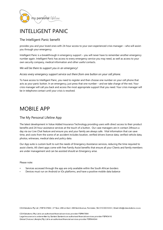

# INTELLIGENT PANIC

## The Intelligent Panic benefit

provides you and your loved ones with 24-hour access to your own experienced crisis manager – who will assistyou through your emergency.

Intelligent Panic is a breakthrough in emergency support – you will never have to remember another emergency number again. Intelligent Panic has access to every emergency service you may need, as well as access to your own security company, medical information and other useful contacts.

*We will be there to support you in an emergency!*

*Access every emergency support service out there from one button on your cell phone.*

To have access to Intelligent Panic, you need to register and then choose one number on your cell phone that acts as your panic button. In an emergency, just press that one number – and we take charge of the rest. Your crisis manager will call you back and access the most appropriate support that you need. Your crisis manager will be in telephone contact until your crisis is resolved.

# MOBILE APP

## The My Personal Lifeline App

The latest development in Value Added Insurance Technology providing users with direct access to their product benefits and 24-hour assistance services at the touch of a button. Our case managers are in contact 24hours a day via our Live Chat feature and ensure you and your family are always safe. Vital information that can save time, and costs from the scene of an accident includes location, verified drivers licence data, verified vehicle data, photos, witnesses, medical data and policy data.

Our App suite is custom built to suit the needs of Emergency Assistance services, reducing the time required to assist clients. All client apps come with free Family Assist benefits that ensure all your Clients and family members are under management and can be assisted should an Emergency arise.

#### Please note:

- Services accessed through the app are only available within the South African borders
- Devices must run on Android or iOs platforms, and have a positive mobile data balance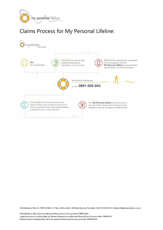

# Claims Process for My Personal Lifeline: